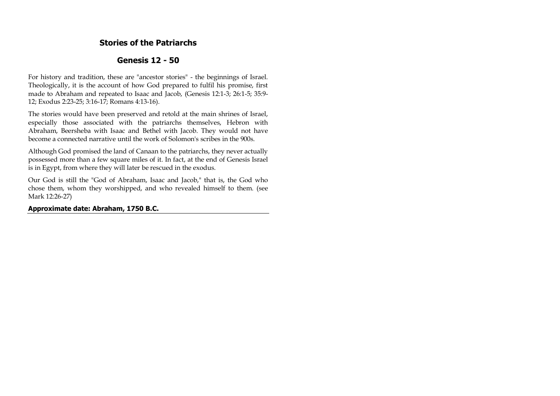## **Stories of the Patriarchs**

# **Genesis 12 - 50**

For history and tradition, these are "ancestor stories" - the beginnings of Israel. Theologically, it is the account of how God prepared to fulfil his promise, first made to Abraham and repeated to Isaac and Jacob, (Genesis 12:1-3; 26:1-5; 35:9- 12; Exodus 2:23-25; 3:16-17; Romans 4:13-16).

The stories would have been preserved and retold at the main shrines of Israel, especially those associated with the patriarchs themselves, Hebron with Abraham, Beersheba with Isaac and Bethel with Jacob. They would not have become a connected narrative until the work of Solomon's scribes in the 900s.

Although God promised the land of Canaan to the patriarchs, they never actually possessed more than a few square miles of it. In fact, at the end of Genesis Israel is in Egypt, from where they will later be rescued in the exodus.

Our God is still the "God of Abraham, Isaac and Jacob," that is, the God who chose them, whom they worshipped, and who revealed himself to them. (see Mark 12:26-27)

**Approximate date: Abraham, 1750 B.C.**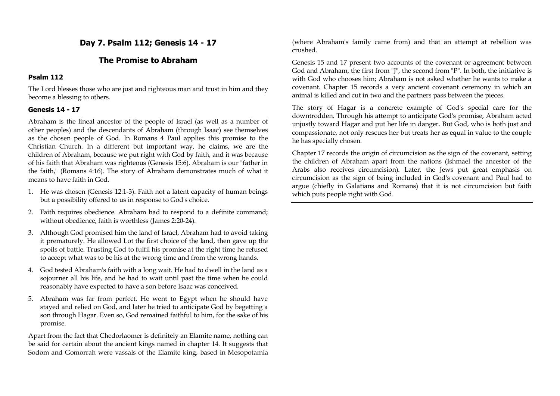# **Day 7. Psalm 112; Genesis 14 - 17**

## **The Promise to Abraham**

## **Psalm 112**

The Lord blesses those who are just and righteous man and trust in him and they become a blessing to others.

## **Genesis 14 - 17**

Abraham is the lineal ancestor of the people of Israel (as well as a number of other peoples) and the descendants of Abraham (through Isaac) see themselves as the chosen people of God. In Romans 4 Paul applies this promise to the Christian Church. In a different but important way, he claims, we are the children of Abraham, because we put right with God by faith, and it was because of his faith that Abraham was righteous (Genesis 15:6). Abraham is our "father in the faith," (Romans 4:16). The story of Abraham demonstrates much of what it means to have faith in God.

- 1. He was chosen (Genesis 12:1-3). Faith not a latent capacity of human beings but a possibility offered to us in response to God's choice.
- 2. Faith requires obedience. Abraham had to respond to a definite command; without obedience, faith is worthless (James 2:20-24).
- 3. Although God promised him the land of Israel, Abraham had to avoid taking it prematurely. He allowed Lot the first choice of the land, then gave up the spoils of battle. Trusting God to fulfil his promise at the right time he refused to accept what was to be his at the wrong time and from the wrong hands.
- 4. God tested Abraham's faith with a long wait. He had to dwell in the land as a sojourner all his life, and he had to wait until past the time when he could reasonably have expected to have a son before Isaac was conceived.
- 5. Abraham was far from perfect. He went to Egypt when he should have stayed and relied on God, and later he tried to anticipate God by begetting a son through Hagar. Even so, God remained faithful to him, for the sake of his promise.

Apart from the fact that Chedorlaomer is definitely an Elamite name, nothing can be said for certain about the ancient kings named in chapter 14. It suggests that Sodom and Gomorrah were vassals of the Elamite king, based in Mesopotamia (where Abraham's family came from) and that an attempt at rebellion was crushed.

Genesis 15 and 17 present two accounts of the covenant or agreement between God and Abraham, the first from "J", the second from "P". In both, the initiative is with God who chooses him; Abraham is not asked whether he wants to make a covenant. Chapter 15 records a very ancient covenant ceremony in which an animal is killed and cut in two and the partners pass between the pieces.

The story of Hagar is a concrete example of God's special care for the downtrodden. Through his attempt to anticipate God's promise, Abraham acted unjustly toward Hagar and put her life in danger. But God, who is both just and compassionate, not only rescues her but treats her as equal in value to the couple he has specially chosen.

Chapter 17 records the origin of circumcision as the sign of the covenant, setting the children of Abraham apart from the nations (Ishmael the ancestor of the Arabs also receives circumcision). Later, the Jews put great emphasis on circumcision as the sign of being included in God's covenant and Paul had to argue (chiefly in Galatians and Romans) that it is not circumcision but faith which puts people right with God.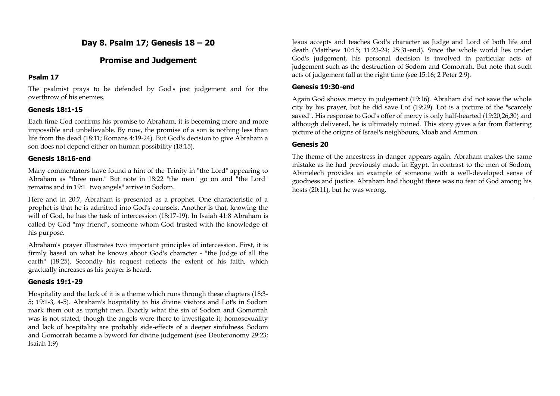# **Day 8. Psalm 17; Genesis 18 – 20**

## **Promise and Judgement**

## **Psalm 17**

The psalmist prays to be defended by God's just judgement and for the overthrow of his enemies.

## **Genesis 18:1-15**

Each time God confirms his promise to Abraham, it is becoming more and more impossible and unbelievable. By now, the promise of a son is nothing less than life from the dead (18:11; Romans 4:19-24). But God's decision to give Abraham a son does not depend either on human possibility (18:15).

### **Genesis 18:16-end**

Many commentators have found a hint of the Trinity in "the Lord" appearing to Abraham as "three men." But note in 18:22 "the men" go on and "the Lord" remains and in 19:1 "two angels" arrive in Sodom.

Here and in 20:7, Abraham is presented as a prophet. One characteristic of a prophet is that he is admitted into God's counsels. Another is that, knowing the will of God, he has the task of intercession (18:17-19). In Isaiah 41:8 Abraham is called by God "my friend", someone whom God trusted with the knowledge of his purpose.

Abraham's prayer illustrates two important principles of intercession. First, it is firmly based on what he knows about God's character - "the Judge of all the earth" (18:25). Secondly his request reflects the extent of his faith, which gradually increases as his prayer is heard.

## **Genesis 19:1-29**

Hospitality and the lack of it is a theme which runs through these chapters (18:3- 5; 19:1-3, 4-5). Abraham's hospitality to his divine visitors and Lot's in Sodom mark them out as upright men. Exactly what the sin of Sodom and Gomorrah was is not stated, though the angels were there to investigate it; homosexuality and lack of hospitality are probably side-effects of a deeper sinfulness. Sodom and Gomorrah became a byword for divine judgement (see Deuteronomy 29:23; Isaiah 1:9)

Jesus accepts and teaches God's character as Judge and Lord of both life and death (Matthew 10:15; 11:23-24; 25:31-end). Since the whole world lies under God's judgement, his personal decision is involved in particular acts of judgement such as the destruction of Sodom and Gomorrah. But note that such acts of judgement fall at the right time (see 15:16; 2 Peter 2:9).

### **Genesis 19:30-end**

Again God shows mercy in judgement (19:16). Abraham did not save the whole city by his prayer, but he did save Lot (19:29). Lot is a picture of the "scarcely saved". His response to God's offer of mercy is only half-hearted (19:20,26,30) and although delivered, he is ultimately ruined. This story gives a far from flattering picture of the origins of Israel's neighbours, Moab and Ammon.

## **Genesis 20**

The theme of the ancestress in danger appears again. Abraham makes the same mistake as he had previously made in Egypt. In contrast to the men of Sodom, Abimelech provides an example of someone with a well-developed sense of goodness and justice. Abraham had thought there was no fear of God among his hosts (20:11), but he was wrong.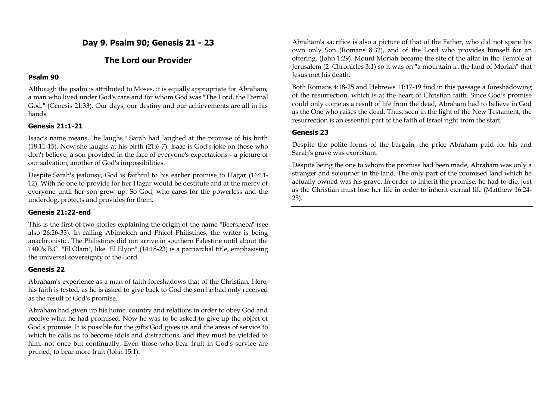**Day 9. Psalm 90; Genesis 21 - 23** 

# **The Lord our Provider**

## **Psalm 90**

Although the psalm is attributed to Moses, it is equally appropriate for Abraham, a man who lived under God's care and for whom God was "The Lord, the Eternal God." (Genesis 21:33). Our days, our destiny and our achievements are all in his hands.

## **Genesis 21:1-21**

Isaac's name means, "he laughs." Sarah had laughed at the promise of his birth (18:11-15). Now she laughs at his birth (21:6-7). Isaac is God's joke on those who don't believe, a son provided in the face of everyone's expectations - a picture of our salvation, another of God's impossibilities.

Despite Sarah's jealousy, God is faithful to his earlier promise to Hagar (16:11- 12). With no one to provide for her Hagar would be destitute and at the mercy of everyone until her son grew up. So God, who cares for the powerless and the underdog, protects and provides for them.

## **Genesis 21:22-end**

This is the first of two stories explaining the origin of the name "Beersheba" (see also 26:26-33). In calling Abimelech and Phicol Philistines, the writer is being anachronistic. The Philistines did not arrive in southern Palestine until about the 1400's B.C. "El Olam", like "El Elyon" (14:18-23) is a patriarchal title, emphasising the universal sovereignty of the Lord.

## **Genesis 22**

Abraham's experience as a man of faith foreshadows that of the Christian. Here, his faith is tested, as he is asked to give back to God the son he had only received as the result of God's promise.

Abraham had given up his home, country and relations in order to obey God and receive what he had promised. Now he was to be asked to give up the object of God's promise. It is possible for the gifts God gives us and the areas of service to which he calls us to become idols and distractions, and they must be vielded to him, not once but continually. Even those who bear fruit in God's service are pruned, to bear more fruit (John 15:1).

Abraham's sacrifice is also a picture of that of the Father, who did not spare his own only Son (Romans 8:32), and of the Lord who provides himself for an offering, (John 1:29). Mount Moriah became the site of the altar in the Temple at Jerusalem (2 Chronicles 3:1) so it was on "a mountain in the land of Moriah" that Jesus met his death.

Both Romans 4:18-25 and Hebrews 11:17-19 find in this passage a foreshadowing of the resurrection, which is at the heart of Christian faith. Since God's promise could only come as a result of life from the dead, Abraham had to believe in God as the One who raises the dead. Thus, seen in the light of the New Testament, the resurrection is an essential part of the faith of Israel right from the start.

## **Genesis 23**

Despite the polite forms of the bargain, the price Abraham paid for his and Sarah's grave was exorbitant.

Despite being the one to whom the promise had been made, Abraham was only a stranger and sojourner in the land. The only part of the promised land which he actually owned was his grave. In order to inherit the promise, he had to die, just as the Christian must lose her life in order to inherit eternal life (Matthew 16:24- 25).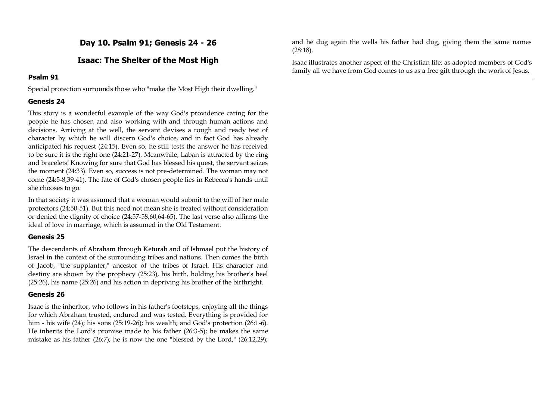**Day 10. Psalm 91; Genesis 24 - 26**

## **Isaac: The Shelter of the Most High**

## **Psalm 91**

Special protection surrounds those who "make the Most High their dwelling."

## **Genesis 24**

This story is a wonderful example of the way God's providence caring for the people he has chosen and also working with and through human actions and decisions. Arriving at the well, the servant devises a rough and ready test of character by which he will discern God's choice, and in fact God has already anticipated his request (24:15). Even so, he still tests the answer he has received to be sure it is the right one (24:21-27). Meanwhile, Laban is attracted by the ring and bracelets! Knowing for sure that God has blessed his quest, the servant seizes the moment (24:33). Even so, success is not pre-determined. The woman may not come (24:5-8,39-41). The fate of God's chosen people lies in Rebecca's hands until she chooses to go.

In that society it was assumed that a woman would submit to the will of her male protectors (24:50-51). But this need not mean she is treated without consideration or denied the dignity of choice (24:57-58,60,64-65). The last verse also affirms the ideal of love in marriage, which is assumed in the Old Testament.

## **Genesis 25**

The descendants of Abraham through Keturah and of Ishmael put the history of Israel in the context of the surrounding tribes and nations. Then comes the birth of Jacob, "the supplanter," ancestor of the tribes of Israel. His character and destiny are shown by the prophecy (25:23), his birth, holding his brother's heel (25:26), his name (25:26) and his action in depriving his brother of the birthright.

## **Genesis 26**

Isaac is the inheritor, who follows in his father's footsteps, enjoying all the things for which Abraham trusted, endured and was tested. Everything is provided for him - his wife (24); his sons (25:19-26); his wealth; and God's protection (26:1-6). He inherits the Lord's promise made to his father (26:3-5); he makes the same mistake as his father (26:7); he is now the one "blessed by the Lord," (26:12,29); and he dug again the wells his father had dug, giving them the same names (28:18).

Isaac illustrates another aspect of the Christian life: as adopted members of God's family all we have from God comes to us as a free gift through the work of Jesus.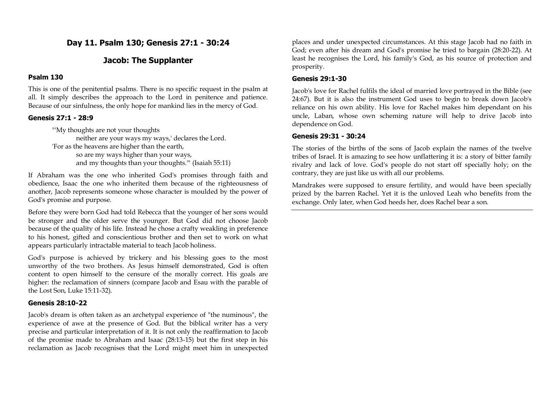**Day 11. Psalm 130; Genesis 27:1 - 30:24**

## **Jacob: The Supplanter**

#### **Psalm 130**

This is one of the penitential psalms. There is no specific request in the psalm at all. It simply describes the approach to the Lord in penitence and patience. Because of our sinfulness, the only hope for mankind lies in the mercy of God.

#### **Genesis 27:1 - 28:9**

"'My thoughts are not your thoughts neither are your ways my ways,' declares the Lord. 'For as the heavens are higher than the earth, so are my ways higher than your ways, and my thoughts than your thoughts.'" (Isaiah 55:11)

If Abraham was the one who inherited God's promises through faith and obedience, Isaac the one who inherited them because of the righteousness of another, Jacob represents someone whose character is moulded by the power of God's promise and purpose.

Before they were born God had told Rebecca that the younger of her sons would be stronger and the older serve the younger. But God did not choose Jacob because of the quality of his life. Instead he chose a crafty weakling in preference to his honest, gifted and conscientious brother and then set to work on what appears particularly intractable material to teach Jacob holiness.

God's purpose is achieved by trickery and his blessing goes to the most unworthy of the two brothers. As Jesus himself demonstrated, God is often content to open himself to the censure of the morally correct. His goals are higher: the reclamation of sinners (compare Jacob and Esau with the parable of the Lost Son, Luke 15:11-32).

#### **Genesis 28:10-22**

Jacob's dream is often taken as an archetypal experience of "the numinous", the experience of awe at the presence of God. But the biblical writer has a very precise and particular interpretation of it. It is not only the reaffirmation to Jacob of the promise made to Abraham and Isaac (28:13-15) but the first step in his reclamation as Jacob recognises that the Lord might meet him in unexpected places and under unexpected circumstances. At this stage Jacob had no faith in God; even after his dream and God's promise he tried to bargain (28:20-22). At least he recognises the Lord, his family's God, as his source of protection and prosperity.

#### **Genesis 29:1-30**

Jacob's love for Rachel fulfils the ideal of married love portrayed in the Bible (see 24:67). But it is also the instrument God uses to begin to break down Jacob's reliance on his own ability. His love for Rachel makes him dependant on his uncle, Laban, whose own scheming nature will help to drive Jacob into dependence on God.

#### **Genesis 29:31 - 30:24**

The stories of the births of the sons of Jacob explain the names of the twelve tribes of Israel. It is amazing to see how unflattering it is: a story of bitter family rivalry and lack of love. God's people do not start off specially holy; on the contrary, they are just like us with all our problems.

Mandrakes were supposed to ensure fertility, and would have been specially prized by the barren Rachel. Yet it is the unloved Leah who benefits from the exchange. Only later, when God heeds her, does Rachel bear a son.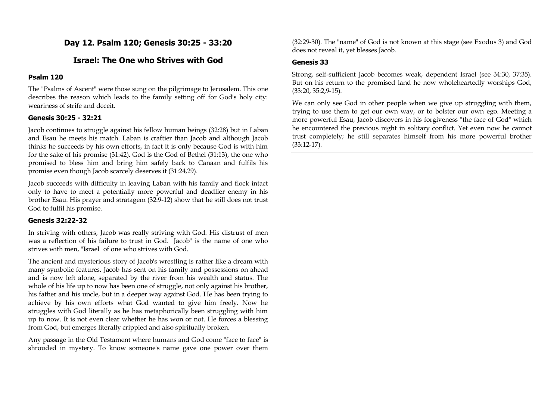# **Day 12. Psalm 120; Genesis 30:25 - 33:20**

## **Israel: The One who Strives with God**

## **Psalm 120**

The "Psalms of Ascent" were those sung on the pilgrimage to Jerusalem. This one describes the reason which leads to the family setting off for God's holy city: weariness of strife and deceit.

### **Genesis 30:25 - 32:21**

Jacob continues to struggle against his fellow human beings (32:28) but in Laban and Esau he meets his match. Laban is craftier than Jacob and although Jacob thinks he succeeds by his own efforts, in fact it is only because God is with him for the sake of his promise (31:42). God is the God of Bethel (31:13), the one who promised to bless him and bring him safely back to Canaan and fulfils his promise even though Jacob scarcely deserves it (31:24,29).

Jacob succeeds with difficulty in leaving Laban with his family and flock intact only to have to meet a potentially more powerful and deadlier enemy in his brother Esau. His prayer and stratagem (32:9-12) show that he still does not trust God to fulfil his promise.

## **Genesis 32:22-32**

In striving with others, Jacob was really striving with God. His distrust of men was a reflection of his failure to trust in God. "Jacob" is the name of one who strives with men, "Israel" of one who strives with God.

The ancient and mysterious story of Jacob's wrestling is rather like a dream with many symbolic features. Jacob has sent on his family and possessions on ahead and is now left alone, separated by the river from his wealth and status. The whole of his life up to now has been one of struggle, not only against his brother, his father and his uncle, but in a deeper way against God. He has been trying to achieve by his own efforts what God wanted to give him freely. Now he struggles with God literally as he has metaphorically been struggling with him up to now. It is not even clear whether he has won or not. He forces a blessing from God, but emerges literally crippled and also spiritually broken.

Any passage in the Old Testament where humans and God come "face to face" is shrouded in mystery. To know someone's name gave one power over them (32:29-30). The "name" of God is not known at this stage (see Exodus 3) and God does not reveal it, yet blesses Jacob.

### **Genesis 33**

Strong, self-sufficient Jacob becomes weak, dependent Israel (see 34:30, 37:35). But on his return to the promised land he now wholeheartedly worships God, (33:20, 35:2,9-15).

We can only see God in other people when we give up struggling with them, trying to use them to get our own way, or to bolster our own ego. Meeting a more powerful Esau, Jacob discovers in his forgiveness "the face of God" which he encountered the previous night in solitary conflict. Yet even now he cannot trust completely; he still separates himself from his more powerful brother (33:12-17).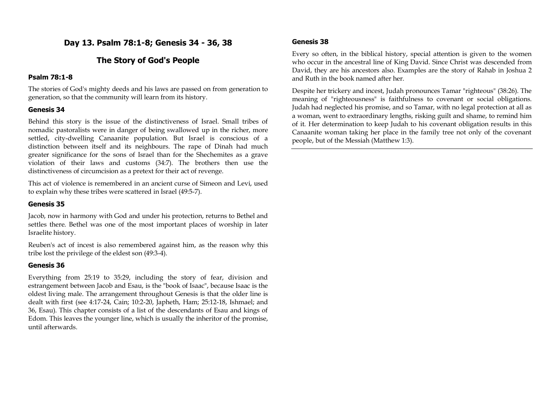**Day 13. Psalm 78:1-8; Genesis 34 - 36, 38**

# **The Story of God's People**

### **Psalm 78:1-8**

The stories of God's mighty deeds and his laws are passed on from generation to generation, so that the community will learn from its history.

#### **Genesis 34**

Behind this story is the issue of the distinctiveness of Israel. Small tribes of nomadic pastoralists were in danger of being swallowed up in the richer, more settled, city-dwelling Canaanite population. But Israel is conscious of a distinction between itself and its neighbours. The rape of Dinah had much greater significance for the sons of Israel than for the Shechemites as a grave violation of their laws and customs (34:7). The brothers then use the distinctiveness of circumcision as a pretext for their act of revenge.

This act of violence is remembered in an ancient curse of Simeon and Levi, used to explain why these tribes were scattered in Israel (49:5-7).

## **Genesis 35**

Jacob, now in harmony with God and under his protection, returns to Bethel and settles there. Bethel was one of the most important places of worship in later Israelite history.

Reuben's act of incest is also remembered against him, as the reason why this tribe lost the privilege of the eldest son (49:3-4).

#### **Genesis 36**

Everything from 25:19 to 35:29, including the story of fear, division and estrangement between Jacob and Esau, is the "book of Isaac", because Isaac is the oldest living male. The arrangement throughout Genesis is that the older line is dealt with first (see 4:17-24, Cain; 10:2-20, Japheth, Ham; 25:12-18, Ishmael; and 36, Esau). This chapter consists of a list of the descendants of Esau and kings of Edom. This leaves the younger line, which is usually the inheritor of the promise, until afterwards.

## **Genesis 38**

Every so often, in the biblical history, special attention is given to the women who occur in the ancestral line of King David. Since Christ was descended from David, they are his ancestors also. Examples are the story of Rahab in Joshua 2 and Ruth in the book named after her.

Despite her trickery and incest, Judah pronounces Tamar "righteous" (38:26). The meaning of "righteousness" is faithfulness to covenant or social obligations. Judah had neglected his promise, and so Tamar, with no legal protection at all as a woman, went to extraordinary lengths, risking guilt and shame, to remind him of it. Her determination to keep Judah to his covenant obligation results in this Canaanite woman taking her place in the family tree not only of the covenant people, but of the Messiah (Matthew 1:3).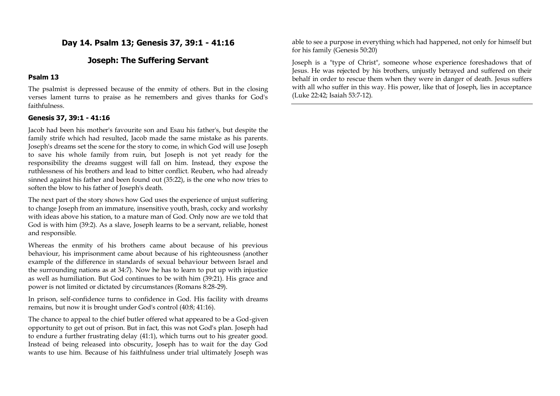**Day 14. Psalm 13; Genesis 37, 39:1 - 41:16**

## **Joseph: The Suffering Servant**

#### **Psalm 13**

The psalmist is depressed because of the enmity of others. But in the closing verses lament turns to praise as he remembers and gives thanks for God's faithfulness.

## **Genesis 37, 39:1 - 41:16**

Jacob had been his mother's favourite son and Esau his father's, but despite the family strife which had resulted, Jacob made the same mistake as his parents. Joseph's dreams set the scene for the story to come, in which God will use Joseph to save his whole family from ruin, but Joseph is not yet ready for the responsibility the dreams suggest will fall on him. Instead, they expose the ruthlessness of his brothers and lead to bitter conflict. Reuben, who had already sinned against his father and been found out (35:22), is the one who now tries to soften the blow to his father of Joseph's death.

The next part of the story shows how God uses the experience of unjust suffering to change Joseph from an immature, insensitive youth, brash, cocky and workshy with ideas above his station, to a mature man of God. Only now are we told that God is with him (39:2). As a slave, Joseph learns to be a servant, reliable, honest and responsible.

Whereas the enmity of his brothers came about because of his previous behaviour, his imprisonment came about because of his righteousness (another example of the difference in standards of sexual behaviour between Israel and the surrounding nations as at 34:7). Now he has to learn to put up with injustice as well as humiliation. But God continues to be with him (39:21). His grace and power is not limited or dictated by circumstances (Romans 8:28-29).

In prison, self-confidence turns to confidence in God. His facility with dreams remains, but now it is brought under God's control (40:8; 41:16).

The chance to appeal to the chief butler offered what appeared to be a God-given opportunity to get out of prison. But in fact, this was not God's plan. Joseph had to endure a further frustrating delay (41:1), which turns out to his greater good. Instead of being released into obscurity, Joseph has to wait for the day God wants to use him. Because of his faithfulness under trial ultimately Joseph was able to see a purpose in everything which had happened, not only for himself but for his family (Genesis 50:20)

Joseph is a "type of Christ", someone whose experience foreshadows that of Jesus. He was rejected by his brothers, unjustly betrayed and suffered on their behalf in order to rescue them when they were in danger of death. Jesus suffers with all who suffer in this way. His power, like that of Joseph, lies in acceptance (Luke 22:42; Isaiah 53:7-12).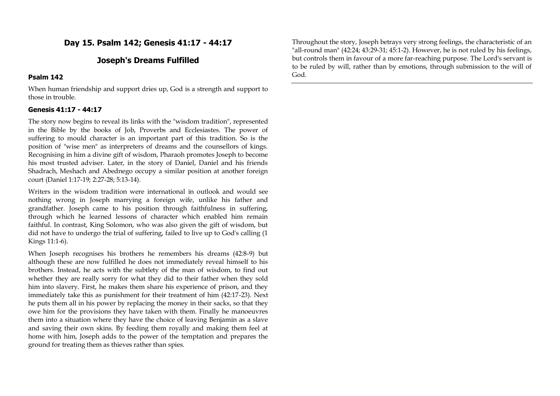## **Day 15. Psalm 142; Genesis 41:17 - 44:17**

## **Joseph's Dreams Fulfilled**

#### **Psalm 142**

When human friendship and support dries up, God is a strength and support to those in trouble.

#### **Genesis 41:17 - 44:17**

The story now begins to reveal its links with the "wisdom tradition", represented in the Bible by the books of Job, Proverbs and Ecclesiastes. The power of suffering to mould character is an important part of this tradition. So is the position of "wise men" as interpreters of dreams and the counsellors of kings. Recognising in him a divine gift of wisdom, Pharaoh promotes Joseph to become his most trusted adviser. Later, in the story of Daniel, Daniel and his friends Shadrach, Meshach and Abednego occupy a similar position at another foreign court (Daniel 1:17-19; 2:27-28; 5:13-14).

Writers in the wisdom tradition were international in outlook and would see nothing wrong in Joseph marrying a foreign wife, unlike his father and grandfather. Joseph came to his position through faithfulness in suffering, through which he learned lessons of character which enabled him remain faithful. In contrast, King Solomon, who was also given the gift of wisdom, but did not have to undergo the trial of suffering, failed to live up to God's calling (1 Kings 11:1-6).

When Joseph recognises his brothers he remembers his dreams (42:8-9) but although these are now fulfilled he does not immediately reveal himself to his brothers. Instead, he acts with the subtlety of the man of wisdom, to find out whether they are really sorry for what they did to their father when they sold him into slavery. First, he makes them share his experience of prison, and they immediately take this as punishment for their treatment of him (42:17-23). Next he puts them all in his power by replacing the money in their sacks, so that they owe him for the provisions they have taken with them. Finally he manoeuvres them into a situation where they have the choice of leaving Benjamin as a slave and saving their own skins. By feeding them royally and making them feel at home with him, Joseph adds to the power of the temptation and prepares the ground for treating them as thieves rather than spies.

Throughout the story, Joseph betrays very strong feelings, the characteristic of an "all-round man" (42:24; 43:29-31; 45:1-2). However, he is not ruled by his feelings, but controls them in favour of a more far-reaching purpose. The Lord's servant is to be ruled by will, rather than by emotions, through submission to the will of God.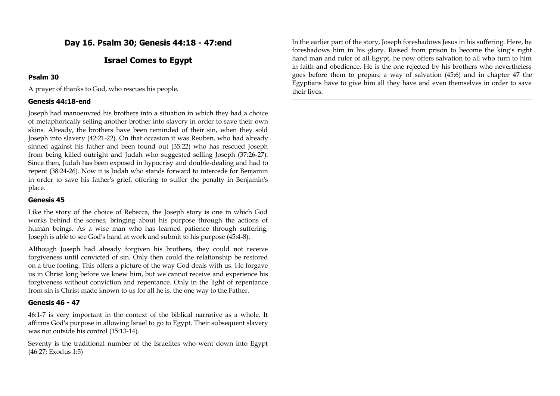# **Day 16. Psalm 30; Genesis 44:18 - 47:end**

## **Israel Comes to Egypt**

#### **Psalm 30**

A prayer of thanks to God, who rescues his people.

### **Genesis 44:18-end**

Joseph had manoeuvred his brothers into a situation in which they had a choice of metaphorically selling another brother into slavery in order to save their own skins. Already, the brothers have been reminded of their sin, when they sold Joseph into slavery (42:21-22). On that occasion it was Reuben, who had already sinned against his father and been found out (35:22) who has rescued Joseph from being killed outright and Judah who suggested selling Joseph (37:26-27). Since then, Judah has been exposed in hypocrisy and double-dealing and had to repent (38:24-26). Now it is Judah who stands forward to intercede for Benjamin in order to save his father's grief, offering to suffer the penalty in Benjamin's place.

#### **Genesis 45**

Like the story of the choice of Rebecca, the Joseph story is one in which God works behind the scenes, bringing about his purpose through the actions of human beings. As a wise man who has learned patience through suffering, Joseph is able to see God's hand at work and submit to his purpose (45:4-8).

Although Joseph had already forgiven his brothers, they could not receive forgiveness until convicted of sin. Only then could the relationship be restored on a true footing. This offers a picture of the way God deals with us. He forgave us in Christ long before we knew him, but we cannot receive and experience his forgiveness without conviction and repentance. Only in the light of repentance from sin is Christ made known to us for all he is, the one way to the Father.

#### **Genesis 46 - 47**

46:1-7 is very important in the context of the biblical narrative as a whole. It affirms God's purpose in allowing Israel to go to Egypt. Their subsequent slavery was not outside his control (15:13-14).

Seventy is the traditional number of the Israelites who went down into Egypt (46:27; Exodus 1:5)

In the earlier part of the story, Joseph foreshadows Jesus in his suffering. Here, he foreshadows him in his glory. Raised from prison to become the king's right hand man and ruler of all Egypt, he now offers salvation to all who turn to him in faith and obedience. He is the one rejected by his brothers who nevertheless goes before them to prepare a way of salvation (45:6) and in chapter 47 the Egyptians have to give him all they have and even themselves in order to save their lives.